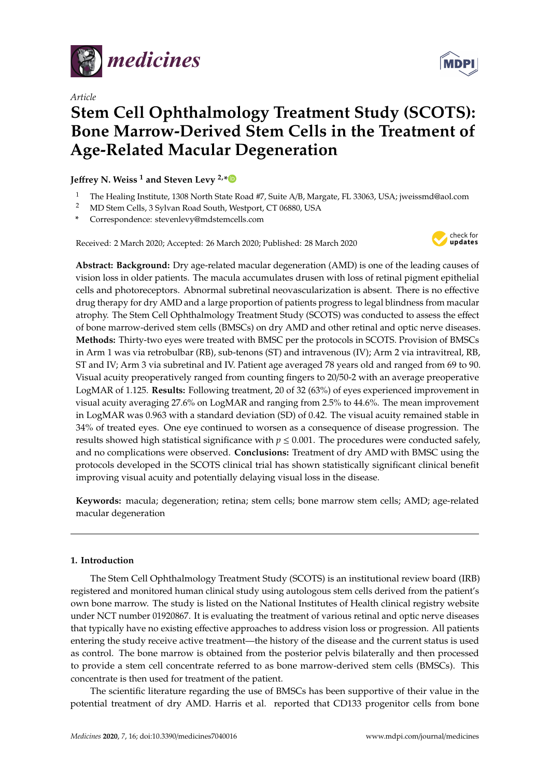

*Article*

# **Stem Cell Ophthalmology Treatment Study (SCOTS): Bone Marrow-Derived Stem Cells in the Treatment of Age-Related Macular Degeneration**

**Je**ff**rey N. Weiss <sup>1</sup> and Steven Levy 2,[\\*](https://orcid.org/0000-0002-9313-3448)**

- <sup>1</sup> The Healing Institute, 1308 North State Road #7, Suite A/B, Margate, FL 33063, USA; jweissmd@aol.com
- <sup>2</sup> MD Stem Cells, 3 Sylvan Road South, Westport, CT 06880, USA
- **\*** Correspondence: stevenlevy@mdstemcells.com

Received: 2 March 2020; Accepted: 26 March 2020; Published: 28 March 2020



**Abstract: Background:** Dry age-related macular degeneration (AMD) is one of the leading causes of vision loss in older patients. The macula accumulates drusen with loss of retinal pigment epithelial cells and photoreceptors. Abnormal subretinal neovascularization is absent. There is no effective drug therapy for dry AMD and a large proportion of patients progress to legal blindness from macular atrophy. The Stem Cell Ophthalmology Treatment Study (SCOTS) was conducted to assess the effect of bone marrow-derived stem cells (BMSCs) on dry AMD and other retinal and optic nerve diseases. **Methods:** Thirty-two eyes were treated with BMSC per the protocols in SCOTS. Provision of BMSCs in Arm 1 was via retrobulbar (RB), sub-tenons (ST) and intravenous (IV); Arm 2 via intravitreal, RB, ST and IV; Arm 3 via subretinal and IV. Patient age averaged 78 years old and ranged from 69 to 90. Visual acuity preoperatively ranged from counting fingers to 20/50-2 with an average preoperative LogMAR of 1.125. **Results:** Following treatment, 20 of 32 (63%) of eyes experienced improvement in visual acuity averaging 27.6% on LogMAR and ranging from 2.5% to 44.6%. The mean improvement in LogMAR was 0.963 with a standard deviation (SD) of 0.42. The visual acuity remained stable in 34% of treated eyes. One eye continued to worsen as a consequence of disease progression. The results showed high statistical significance with  $p \le 0.001$ . The procedures were conducted safely, and no complications were observed. **Conclusions:** Treatment of dry AMD with BMSC using the protocols developed in the SCOTS clinical trial has shown statistically significant clinical benefit improving visual acuity and potentially delaying visual loss in the disease.

**Keywords:** macula; degeneration; retina; stem cells; bone marrow stem cells; AMD; age-related macular degeneration

# **1. Introduction**

The Stem Cell Ophthalmology Treatment Study (SCOTS) is an institutional review board (IRB) registered and monitored human clinical study using autologous stem cells derived from the patient's own bone marrow. The study is listed on the National Institutes of Health clinical registry website under NCT number 01920867. It is evaluating the treatment of various retinal and optic nerve diseases that typically have no existing effective approaches to address vision loss or progression. All patients entering the study receive active treatment—the history of the disease and the current status is used as control. The bone marrow is obtained from the posterior pelvis bilaterally and then processed to provide a stem cell concentrate referred to as bone marrow-derived stem cells (BMSCs). This concentrate is then used for treatment of the patient.

The scientific literature regarding the use of BMSCs has been supportive of their value in the potential treatment of dry AMD. Harris et al. reported that CD133 progenitor cells from bone

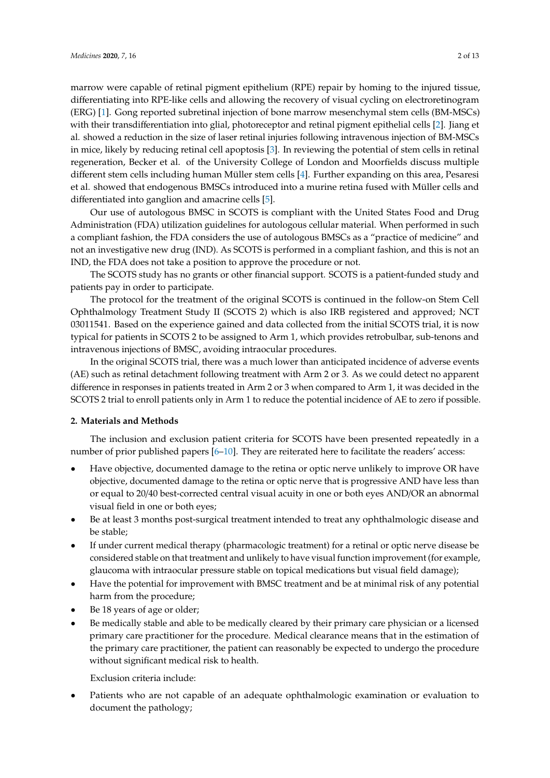marrow were capable of retinal pigment epithelium (RPE) repair by homing to the injured tissue, differentiating into RPE-like cells and allowing the recovery of visual cycling on electroretinogram (ERG) [\[1\]](#page-11-0). Gong reported subretinal injection of bone marrow mesenchymal stem cells (BM-MSCs) with their transdifferentiation into glial, photoreceptor and retinal pigment epithelial cells [\[2\]](#page-11-1). Jiang et al. showed a reduction in the size of laser retinal injuries following intravenous injection of BM-MSCs in mice, likely by reducing retinal cell apoptosis [\[3\]](#page-11-2). In reviewing the potential of stem cells in retinal regeneration, Becker et al. of the University College of London and Moorfields discuss multiple different stem cells including human Müller stem cells [\[4\]](#page-11-3). Further expanding on this area, Pesaresi et al. showed that endogenous BMSCs introduced into a murine retina fused with Müller cells and differentiated into ganglion and amacrine cells [\[5\]](#page-11-4).

Our use of autologous BMSC in SCOTS is compliant with the United States Food and Drug Administration (FDA) utilization guidelines for autologous cellular material. When performed in such a compliant fashion, the FDA considers the use of autologous BMSCs as a "practice of medicine" and not an investigative new drug (IND). As SCOTS is performed in a compliant fashion, and this is not an IND, the FDA does not take a position to approve the procedure or not.

The SCOTS study has no grants or other financial support. SCOTS is a patient-funded study and patients pay in order to participate.

The protocol for the treatment of the original SCOTS is continued in the follow-on Stem Cell Ophthalmology Treatment Study II (SCOTS 2) which is also IRB registered and approved; NCT 03011541. Based on the experience gained and data collected from the initial SCOTS trial, it is now typical for patients in SCOTS 2 to be assigned to Arm 1, which provides retrobulbar, sub-tenons and intravenous injections of BMSC, avoiding intraocular procedures.

In the original SCOTS trial, there was a much lower than anticipated incidence of adverse events (AE) such as retinal detachment following treatment with Arm 2 or 3. As we could detect no apparent difference in responses in patients treated in Arm 2 or 3 when compared to Arm 1, it was decided in the SCOTS 2 trial to enroll patients only in Arm 1 to reduce the potential incidence of AE to zero if possible.

# **2. Materials and Methods**

The inclusion and exclusion patient criteria for SCOTS have been presented repeatedly in a number of prior published papers [\[6](#page-11-5)[–10\]](#page-11-6). They are reiterated here to facilitate the readers' access:

- Have objective, documented damage to the retina or optic nerve unlikely to improve OR have objective, documented damage to the retina or optic nerve that is progressive AND have less than or equal to 20/40 best-corrected central visual acuity in one or both eyes AND/OR an abnormal visual field in one or both eyes;
- Be at least 3 months post-surgical treatment intended to treat any ophthalmologic disease and be stable;
- If under current medical therapy (pharmacologic treatment) for a retinal or optic nerve disease be considered stable on that treatment and unlikely to have visual function improvement (for example, glaucoma with intraocular pressure stable on topical medications but visual field damage);
- Have the potential for improvement with BMSC treatment and be at minimal risk of any potential harm from the procedure;
- Be 18 years of age or older;
- Be medically stable and able to be medically cleared by their primary care physician or a licensed primary care practitioner for the procedure. Medical clearance means that in the estimation of the primary care practitioner, the patient can reasonably be expected to undergo the procedure without significant medical risk to health.

Exclusion criteria include:

• Patients who are not capable of an adequate ophthalmologic examination or evaluation to document the pathology;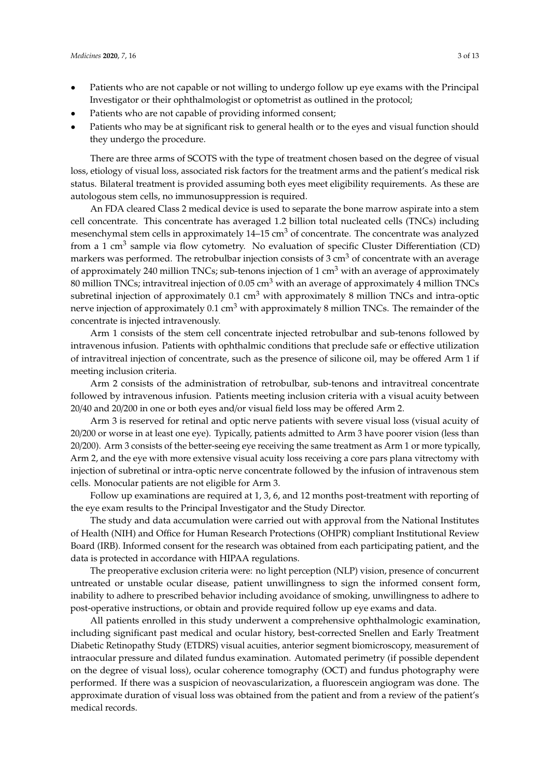- Patients who are not capable or not willing to undergo follow up eye exams with the Principal Investigator or their ophthalmologist or optometrist as outlined in the protocol;
- Patients who are not capable of providing informed consent;
- Patients who may be at significant risk to general health or to the eyes and visual function should they undergo the procedure.

There are three arms of SCOTS with the type of treatment chosen based on the degree of visual loss, etiology of visual loss, associated risk factors for the treatment arms and the patient's medical risk status. Bilateral treatment is provided assuming both eyes meet eligibility requirements. As these are autologous stem cells, no immunosuppression is required.

An FDA cleared Class 2 medical device is used to separate the bone marrow aspirate into a stem cell concentrate. This concentrate has averaged 1.2 billion total nucleated cells (TNCs) including mesenchymal stem cells in approximately 14–15 cm<sup>3</sup> of concentrate. The concentrate was analyzed from a 1 cm<sup>3</sup> sample via flow cytometry. No evaluation of specific Cluster Differentiation (CD) markers was performed. The retrobulbar injection consists of  $3 \text{ cm}^3$  of concentrate with an average of approximately 240 million TNCs; sub-tenons injection of 1 cm<sup>3</sup> with an average of approximately 80 million TNCs; intravitreal injection of 0.05 cm<sup>3</sup> with an average of approximately 4 million TNCs subretinal injection of approximately  $0.1 \text{ cm}^3$  with approximately 8 million TNCs and intra-optic nerve injection of approximately  $0.1 \text{ cm}^3$  with approximately 8 million TNCs. The remainder of the concentrate is injected intravenously.

Arm 1 consists of the stem cell concentrate injected retrobulbar and sub-tenons followed by intravenous infusion. Patients with ophthalmic conditions that preclude safe or effective utilization of intravitreal injection of concentrate, such as the presence of silicone oil, may be offered Arm 1 if meeting inclusion criteria.

Arm 2 consists of the administration of retrobulbar, sub-tenons and intravitreal concentrate followed by intravenous infusion. Patients meeting inclusion criteria with a visual acuity between 20/40 and 20/200 in one or both eyes and/or visual field loss may be offered Arm 2.

Arm 3 is reserved for retinal and optic nerve patients with severe visual loss (visual acuity of 20/200 or worse in at least one eye). Typically, patients admitted to Arm 3 have poorer vision (less than 20/200). Arm 3 consists of the better-seeing eye receiving the same treatment as Arm 1 or more typically, Arm 2, and the eye with more extensive visual acuity loss receiving a core pars plana vitrectomy with injection of subretinal or intra-optic nerve concentrate followed by the infusion of intravenous stem cells. Monocular patients are not eligible for Arm 3.

Follow up examinations are required at 1, 3, 6, and 12 months post-treatment with reporting of the eye exam results to the Principal Investigator and the Study Director.

The study and data accumulation were carried out with approval from the National Institutes of Health (NIH) and Office for Human Research Protections (OHPR) compliant Institutional Review Board (IRB). Informed consent for the research was obtained from each participating patient, and the data is protected in accordance with HIPAA regulations.

The preoperative exclusion criteria were: no light perception (NLP) vision, presence of concurrent untreated or unstable ocular disease, patient unwillingness to sign the informed consent form, inability to adhere to prescribed behavior including avoidance of smoking, unwillingness to adhere to post-operative instructions, or obtain and provide required follow up eye exams and data.

All patients enrolled in this study underwent a comprehensive ophthalmologic examination, including significant past medical and ocular history, best-corrected Snellen and Early Treatment Diabetic Retinopathy Study (ETDRS) visual acuities, anterior segment biomicroscopy, measurement of intraocular pressure and dilated fundus examination. Automated perimetry (if possible dependent on the degree of visual loss), ocular coherence tomography (OCT) and fundus photography were performed. If there was a suspicion of neovascularization, a fluorescein angiogram was done. The approximate duration of visual loss was obtained from the patient and from a review of the patient's medical records.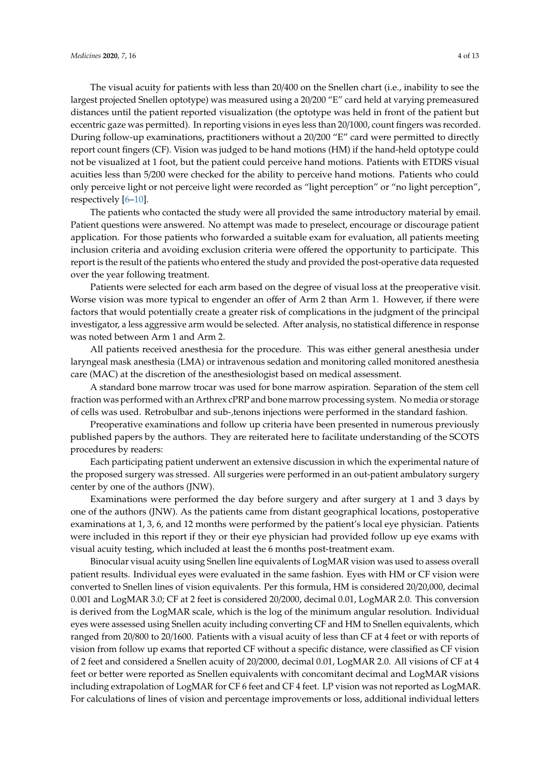The visual acuity for patients with less than 20/400 on the Snellen chart (i.e., inability to see the largest projected Snellen optotype) was measured using a 20/200 "E" card held at varying premeasured distances until the patient reported visualization (the optotype was held in front of the patient but eccentric gaze was permitted). In reporting visions in eyes less than 20/1000, count fingers was recorded.

During follow-up examinations, practitioners without a 20/200 "E" card were permitted to directly report count fingers (CF). Vision was judged to be hand motions (HM) if the hand-held optotype could not be visualized at 1 foot, but the patient could perceive hand motions. Patients with ETDRS visual acuities less than 5/200 were checked for the ability to perceive hand motions. Patients who could only perceive light or not perceive light were recorded as "light perception" or "no light perception", respectively [\[6](#page-11-5)[–10\]](#page-11-6).

The patients who contacted the study were all provided the same introductory material by email. Patient questions were answered. No attempt was made to preselect, encourage or discourage patient application. For those patients who forwarded a suitable exam for evaluation, all patients meeting inclusion criteria and avoiding exclusion criteria were offered the opportunity to participate. This report is the result of the patients who entered the study and provided the post-operative data requested over the year following treatment.

Patients were selected for each arm based on the degree of visual loss at the preoperative visit. Worse vision was more typical to engender an offer of Arm 2 than Arm 1. However, if there were factors that would potentially create a greater risk of complications in the judgment of the principal investigator, a less aggressive arm would be selected. After analysis, no statistical difference in response was noted between Arm 1 and Arm 2.

All patients received anesthesia for the procedure. This was either general anesthesia under laryngeal mask anesthesia (LMA) or intravenous sedation and monitoring called monitored anesthesia care (MAC) at the discretion of the anesthesiologist based on medical assessment.

A standard bone marrow trocar was used for bone marrow aspiration. Separation of the stem cell fraction was performed with an Arthrex cPRP and bone marrow processing system. No media or storage of cells was used. Retrobulbar and sub-,tenons injections were performed in the standard fashion.

Preoperative examinations and follow up criteria have been presented in numerous previously published papers by the authors. They are reiterated here to facilitate understanding of the SCOTS procedures by readers:

Each participating patient underwent an extensive discussion in which the experimental nature of the proposed surgery was stressed. All surgeries were performed in an out-patient ambulatory surgery center by one of the authors (JNW).

Examinations were performed the day before surgery and after surgery at 1 and 3 days by one of the authors (JNW). As the patients came from distant geographical locations, postoperative examinations at 1, 3, 6, and 12 months were performed by the patient's local eye physician. Patients were included in this report if they or their eye physician had provided follow up eye exams with visual acuity testing, which included at least the 6 months post-treatment exam.

Binocular visual acuity using Snellen line equivalents of LogMAR vision was used to assess overall patient results. Individual eyes were evaluated in the same fashion. Eyes with HM or CF vision were converted to Snellen lines of vision equivalents. Per this formula, HM is considered 20/20,000, decimal 0.001 and LogMAR 3.0; CF at 2 feet is considered 20/2000, decimal 0.01, LogMAR 2.0. This conversion is derived from the LogMAR scale, which is the log of the minimum angular resolution. Individual eyes were assessed using Snellen acuity including converting CF and HM to Snellen equivalents, which ranged from 20/800 to 20/1600. Patients with a visual acuity of less than CF at 4 feet or with reports of vision from follow up exams that reported CF without a specific distance, were classified as CF vision of 2 feet and considered a Snellen acuity of 20/2000, decimal 0.01, LogMAR 2.0. All visions of CF at 4 feet or better were reported as Snellen equivalents with concomitant decimal and LogMAR visions including extrapolation of LogMAR for CF 6 feet and CF 4 feet. LP vision was not reported as LogMAR. For calculations of lines of vision and percentage improvements or loss, additional individual letters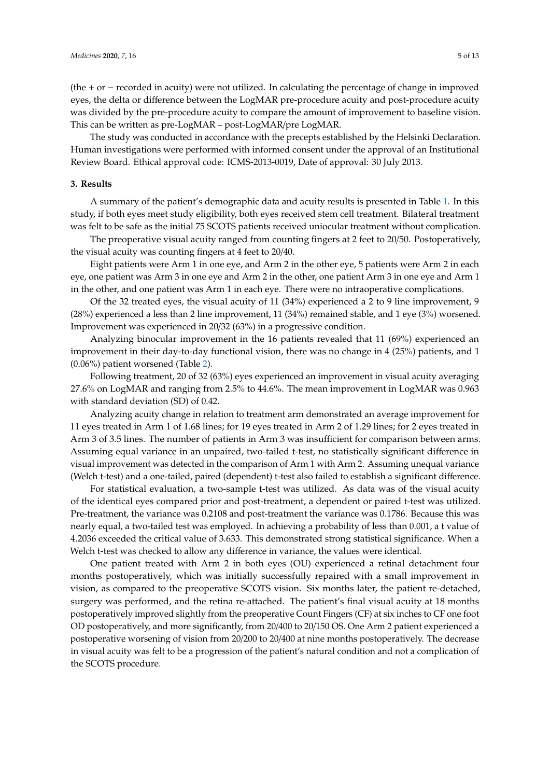(the + or − recorded in acuity) were not utilized. In calculating the percentage of change in improved eyes, the delta or difference between the LogMAR pre-procedure acuity and post-procedure acuity was divided by the pre-procedure acuity to compare the amount of improvement to baseline vision. This can be written as pre-LogMAR – post-LogMAR/pre LogMAR.

The study was conducted in accordance with the precepts established by the Helsinki Declaration. Human investigations were performed with informed consent under the approval of an Institutional Review Board. Ethical approval code: ICMS-2013-0019, Date of approval: 30 July 2013.

#### **3. Results**

A summary of the patient's demographic data and acuity results is presented in Table [1.](#page-7-0) In this study, if both eyes meet study eligibility, both eyes received stem cell treatment. Bilateral treatment was felt to be safe as the initial 75 SCOTS patients received uniocular treatment without complication.

The preoperative visual acuity ranged from counting fingers at 2 feet to 20/50. Postoperatively, the visual acuity was counting fingers at 4 feet to 20/40.

Eight patients were Arm 1 in one eye, and Arm 2 in the other eye, 5 patients were Arm 2 in each eye, one patient was Arm 3 in one eye and Arm 2 in the other, one patient Arm 3 in one eye and Arm 1 in the other, and one patient was Arm 1 in each eye. There were no intraoperative complications.

Of the 32 treated eyes, the visual acuity of 11 (34%) experienced a 2 to 9 line improvement, 9 (28%) experienced a less than 2 line improvement, 11 (34%) remained stable, and 1 eye (3%) worsened. Improvement was experienced in 20/32 (63%) in a progressive condition.

Analyzing binocular improvement in the 16 patients revealed that 11 (69%) experienced an improvement in their day-to-day functional vision, there was no change in 4 (25%) patients, and 1 (0.06%) patient worsened (Table [2\)](#page-8-0).

Following treatment, 20 of 32 (63%) eyes experienced an improvement in visual acuity averaging 27.6% on LogMAR and ranging from 2.5% to 44.6%. The mean improvement in LogMAR was 0.963 with standard deviation (SD) of 0.42.

Analyzing acuity change in relation to treatment arm demonstrated an average improvement for 11 eyes treated in Arm 1 of 1.68 lines; for 19 eyes treated in Arm 2 of 1.29 lines; for 2 eyes treated in Arm 3 of 3.5 lines. The number of patients in Arm 3 was insufficient for comparison between arms. Assuming equal variance in an unpaired, two-tailed t-test, no statistically significant difference in visual improvement was detected in the comparison of Arm 1 with Arm 2. Assuming unequal variance (Welch t-test) and a one-tailed, paired (dependent) t-test also failed to establish a significant difference.

For statistical evaluation, a two-sample t-test was utilized. As data was of the visual acuity of the identical eyes compared prior and post-treatment, a dependent or paired t-test was utilized. Pre-treatment, the variance was 0.2108 and post-treatment the variance was 0.1786. Because this was nearly equal, a two-tailed test was employed. In achieving a probability of less than 0.001, a t value of 4.2036 exceeded the critical value of 3.633. This demonstrated strong statistical significance. When a Welch t-test was checked to allow any difference in variance, the values were identical.

One patient treated with Arm 2 in both eyes (OU) experienced a retinal detachment four months postoperatively, which was initially successfully repaired with a small improvement in vision, as compared to the preoperative SCOTS vision. Six months later, the patient re-detached, surgery was performed, and the retina re-attached. The patient's final visual acuity at 18 months postoperatively improved slightly from the preoperative Count Fingers (CF) at six inches to CF one foot OD postoperatively, and more significantly, from 20/400 to 20/150 OS. One Arm 2 patient experienced a postoperative worsening of vision from 20/200 to 20/400 at nine months postoperatively. The decrease in visual acuity was felt to be a progression of the patient's natural condition and not a complication of the SCOTS procedure.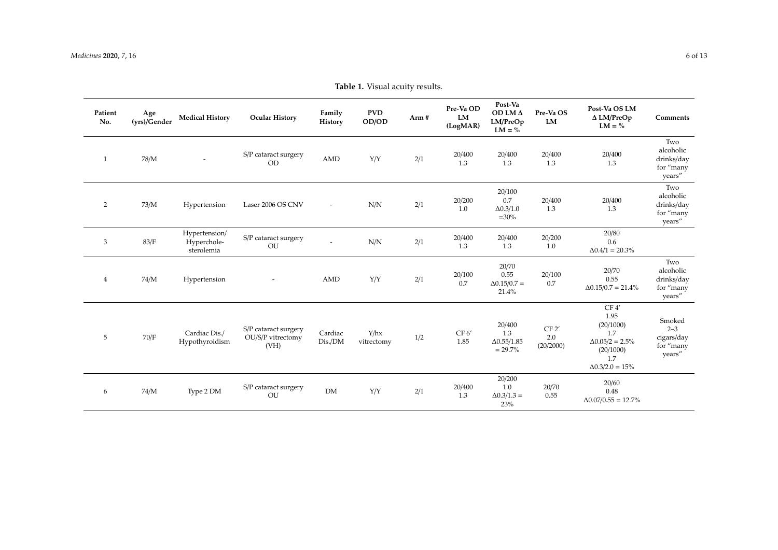| Patient<br>No. | Age<br>(yrs)/Gender | <b>Medical History</b>                     | <b>Ocular History</b>                             | Family<br>History        | <b>PVD</b><br>OD/OD | Arm # | Pre-Va OD<br>LM<br>(LogMAR) | Post-Va<br>OD LM Δ<br>LM/PreOp<br>$LM = \%$       | Pre-Va OS<br>LM           | Post-Va OS LM<br>$\Delta$ LM/PreOp<br>$LM = \%$                                                           | Comments                                                          |
|----------------|---------------------|--------------------------------------------|---------------------------------------------------|--------------------------|---------------------|-------|-----------------------------|---------------------------------------------------|---------------------------|-----------------------------------------------------------------------------------------------------------|-------------------------------------------------------------------|
| 1              | 78/M                |                                            | S/P cataract surgery<br><b>OD</b>                 | AMD                      | Y/Y                 | 2/1   | 20/400<br>1.3               | 20/400<br>1.3                                     | 20/400<br>1.3             | 20/400<br>1.3                                                                                             | Two<br>alcoholic<br>drinks/day<br>for "many<br>years"             |
| 2              | 73/M                | Hypertension                               | Laser 2006 OS CNV                                 | $\overline{\phantom{a}}$ | N/N                 | 2/1   | 20/200<br>1.0               | 20/100<br>0.7<br>$\Delta 0.3/1.0$<br>$=30%$       | 20/400<br>1.3             | 20/400<br>1.3                                                                                             | Two<br>alcoholic<br>drinks/day<br>for "many<br>$\,$ years<br>$\,$ |
| 3              | 83/F                | Hypertension/<br>Hyperchole-<br>sterolemia | S/P cataract surgery<br>OU                        | $\sim$                   | N/N                 | 2/1   | 20/400<br>1.3               | 20/400<br>1.3                                     | 20/200<br>$1.0\,$         | 20/80<br>0.6<br>$\Delta 0.4/1 = 20.3\%$                                                                   |                                                                   |
| $\overline{4}$ | 74/M                | Hypertension                               |                                                   | AMD                      | Y/Y                 | 2/1   | 20/100<br>0.7               | 20/70<br>0.55<br>$\Delta 0.15/0.7 =$<br>21.4%     | 20/100<br>0.7             | 20/70<br>0.55<br>$\Delta 0.15/0.7 = 21.4\%$                                                               | Two<br>alcoholic<br>drinks/day<br>for "many<br>years"             |
| 5              | $70/F$              | Cardiac Dis./<br>Hypothyroidism            | S/P cataract surgery<br>OU/S/P vitrectomy<br>(VH) | Cardiac<br>Dis./DM       | Y/hx<br>vitrectomy  | 1/2   | CF 6'<br>1.85               | 20/400<br>1.3<br>$\Delta 0.55/1.85$<br>$= 29.7\%$ | CF 2'<br>2.0<br>(20/2000) | CF4<br>1.95<br>(20/1000)<br>1.7<br>$\Delta 0.05/2 = 2.5\%$<br>(20/1000)<br>1.7<br>$\Delta 0.3/2.0 = 15\%$ | Smoked<br>$2 - 3$<br>cigars/day<br>for "many<br>years"            |
| 6              | 74/M                | Type 2 DM                                  | S/P cataract surgery<br><b>OU</b>                 | <b>DM</b>                | Y/Y                 | 2/1   | 20/400<br>1.3               | 20/200<br>1.0<br>$\Delta 0.3/1.3 =$<br>23%        | 20/70<br>0.55             | 20/60<br>0.48<br>$\Delta 0.07/0.55 = 12.7\%$                                                              |                                                                   |

**Table 1.** Visual acuity results.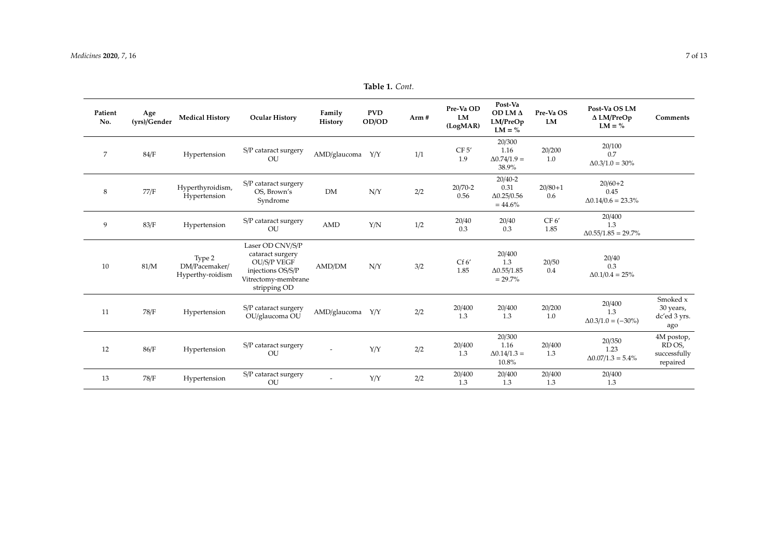**Patient No.**

 $8\,$ 

 $10$ 

12 86/F Hypertension  $\frac{S/P \text{ cataract surgery}}{OU}$  -  $\frac{Y/Y}{2/2}$ 

 $V/Y$  2/2

13 78/F Hypertension S/P cataract surgery OU

| tient<br>Ñ٥.   | Age<br>(yrs)/Gender | <b>Medical History</b>                      | <b>Ocular History</b>                                                                                                  | Family<br>History | <b>PVD</b><br>OD/OD | Arm# | Pre-Va OD<br>LM<br>(LogMAR) | Post-Va<br>OD LM Δ<br>LM/PreOp<br>$LM = \%$             | Pre-Va OS<br>LM    | Post-Va OS LM<br>$\Delta$ LM/PreOp<br>$LM = \%$ | Comments                                        |
|----------------|---------------------|---------------------------------------------|------------------------------------------------------------------------------------------------------------------------|-------------------|---------------------|------|-----------------------------|---------------------------------------------------------|--------------------|-------------------------------------------------|-------------------------------------------------|
| $\overline{7}$ | 84/F                | Hypertension                                | S/P cataract surgery<br>OU                                                                                             | AMD/glaucoma      | Y/Y                 | 1/1  | CF 5'<br>1.9                | 20/300<br>1.16<br>$\Delta 0.74/1.9 =$<br>38.9%          | 20/200<br>1.0      | 20/100<br>0.7<br>$\Delta 0.3/1.0 = 30\%$        |                                                 |
| 8              | 77/F                | Hyperthyroidism,<br>Hypertension            | S/P cataract surgery<br>OS, Brown's<br>Syndrome                                                                        | <b>DM</b>         | N/Y                 | 2/2  | 20/70-2<br>0.56             | $20/40 - 2$<br>0.31<br>$\Delta 0.25/0.56$<br>$= 44.6\%$ | $20/80 + 1$<br>0.6 | $20/60+2$<br>0.45<br>$\Delta 0.14/0.6 = 23.3\%$ |                                                 |
| 9              | 83/F                | Hypertension                                | S/P cataract surgery<br>OU                                                                                             | AMD               | Y/N                 | 1/2  | 20/40<br>0.3                | 20/40<br>0.3                                            | CF 6'<br>1.85      | 20/400<br>1.3<br>$\Delta 0.55/1.85 = 29.7\%$    |                                                 |
| 10             | 81/M                | Type 2<br>DM/Pacemaker/<br>Hyperthy-roidism | Laser OD CNV/S/P<br>cataract surgery<br><b>OU/S/P VEGF</b><br>injections OS/S/P<br>Vitrectomy-membrane<br>stripping OD | AMD/DM            | N/Y                 | 3/2  | Cf 6'<br>1.85               | 20/400<br>1.3<br>$\Delta 0.55/1.85$<br>$= 29.7\%$       | 20/50<br>0.4       | 20/40<br>0.3<br>$\Delta 0.1/0.4 = 25\%$         |                                                 |
| 11             | 78/F                | Hypertension                                | S/P cataract surgery<br>OU/glaucoma OU                                                                                 | AMD/glaucoma      | Y/Y                 | 2/2  | 20/400<br>1.3               | 20/400<br>1.3                                           | 20/200<br>1.0      | 20/400<br>1.3<br>$\Delta 0.3/1.0 = (-30\%)$     | Smoked x<br>30 years,<br>dc'ed 3 yrs.<br>$\sim$ |

20/400 1.3

20/400 1.3

20/300 1.16  $Δ0.14/1.3 =$ 10.8%

> 20/400  $1.3$

20/400  $1.3$ 

> 20/400 1.3

20/350 1.23  $\Delta 0.07/1.3 = 5.4\%$ 

> 20/400  $1.3$

**Table 1.** *Cont.*

dc'ed 3 yrs. ago

4M postop, RD OS, successfully repaired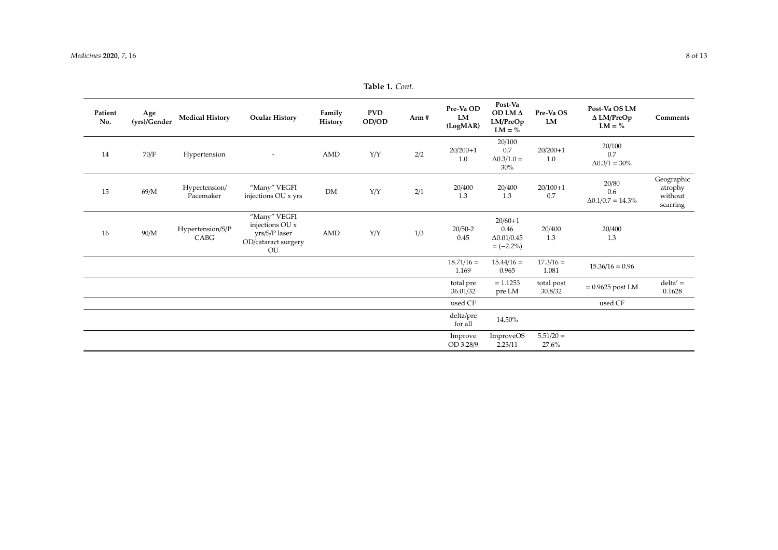**Patient No.**

 $15\,$ 

<span id="page-7-0"></span> $16$ 

| tient<br>No. | Age<br>(yrs)/Gender | <b>Medical History</b>     | <b>Ocular History</b>                                                         | Family<br>History | <b>PVD</b><br>OD/OD | Arm # | Pre-Va OD<br>LM<br>(LogMAR) | Post-Va<br>OD LMΔ<br>LM/PreOp<br>$LM = \%$                | Pre-Va OS<br>LM       | Post-Va OS LM<br>$\Delta$ LM/PreOp<br>$LM = \%$ | Comments                                     |
|--------------|---------------------|----------------------------|-------------------------------------------------------------------------------|-------------------|---------------------|-------|-----------------------------|-----------------------------------------------------------|-----------------------|-------------------------------------------------|----------------------------------------------|
| 14           | 70/F                | Hypertension               |                                                                               | AMD               | Y/Y                 | 2/2   | $20/200+1$<br>1.0           | 20/100<br>0.7<br>$\Delta 0.3/1.0 =$<br>$30\%$             | $20/200+1$<br>1.0     | 20/100<br>0.7<br>$\Delta 0.3/1 = 30\%$          |                                              |
| 15           | 69/M                | Hypertension/<br>Pacemaker | "Many" VEGFI<br>injections OU x yrs                                           | <b>DM</b>         | Y/Y                 | 2/1   | 20/400<br>1.3               | 20/400<br>1.3                                             | $20/100+1$<br>0.7     | 20/80<br>0.6<br>$\Delta 0.1/0.7 = 14.3\%$       | Geographic<br>atrophy<br>without<br>scarring |
| 16           | 90/M                | Hypertension/S/P<br>CABG   | "Many" VEGFI<br>injections OU x<br>yrs/S/P laser<br>OD/cataract surgery<br>OU | AMD               | Y/Y                 | 1/3   | $20/50-2$<br>0.45           | $20/60+1$<br>0.46<br>$\Delta 0.01 / 0.45$<br>$= (-2.2\%)$ | 20/400<br>1.3         | 20/400<br>1.3                                   |                                              |
|              |                     |                            |                                                                               |                   |                     |       | $18.71/16 =$<br>1.169       | $15.44/16 =$<br>0.965                                     | $17.3/16 =$<br>1.081  | $15.36/16 = 0.96$                               |                                              |
|              |                     |                            |                                                                               |                   |                     |       | total pre<br>36.01/32       | $= 1.1253$<br>pre LM                                      | total post<br>30.8/32 | $= 0.9625$ post LM                              | $delta' =$<br>0.1628                         |

Improve OD 3.28/9

delta/pre for all 14.50%

ImproveOS 2.23/11

used CF used CF used CF

 $5.51/20 =$ 27.6%

**Table 1.** *Cont.*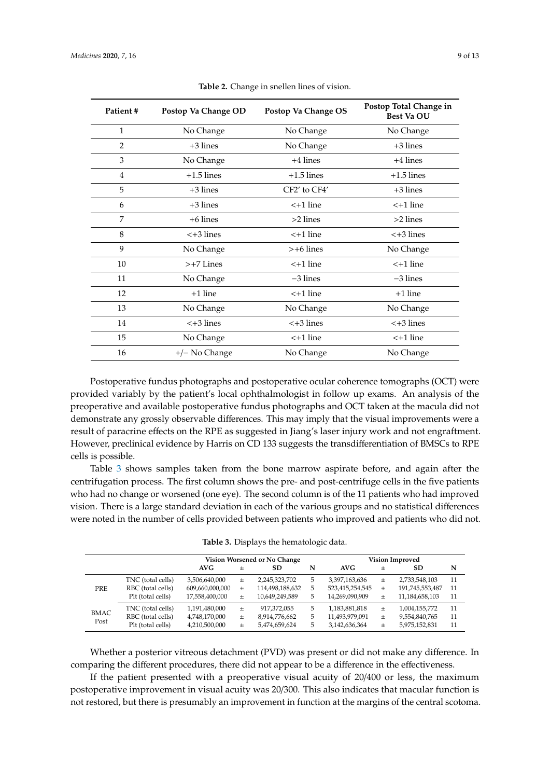<span id="page-8-0"></span>

| Patient#       | Postop Va Change OD | Postop Va Change OS | Postop Total Change in<br><b>Best Va OU</b> |
|----------------|---------------------|---------------------|---------------------------------------------|
| $\mathbf{1}$   | No Change           | No Change           | No Change                                   |
| $\overline{2}$ | $+3$ lines          | No Change           | $+3$ lines                                  |
| 3              | No Change           | $+4$ lines          | $+4$ lines                                  |
| 4              | $+1.5$ lines        | $+1.5$ lines        | $+1.5$ lines                                |
| 5              | $+3$ lines          | CF2' to CF4'        | $+3$ lines                                  |
| 6              | $+3$ lines          | $<$ +1 line         | $<$ +1 line                                 |
| 7              | $+6$ lines          | $>2$ lines          | $>2$ lines                                  |
| 8              | $<+3$ lines         | $<$ +1 line         | $<+3$ lines                                 |
| 9              | No Change           | $> +6$ lines        | No Change                                   |
| 10             | $> +7$ Lines        | $<$ +1 line         | $<$ +1 line                                 |
| 11             | No Change           | $-3$ lines          | $-3$ lines                                  |
| 12             | $+1$ line           | $<$ +1 line         | $+1$ line                                   |
| 13             | No Change           | No Change           | No Change                                   |
| 14             | $<+3$ lines         | $<+3$ lines         | $<+3$ lines                                 |
| 15             | No Change           | $<$ +1 line         | $<$ +1 line                                 |
| 16             | $+/-$ No Change     | No Change           | No Change                                   |

**Table 2.** Change in snellen lines of vision.

Postoperative fundus photographs and postoperative ocular coherence tomographs (OCT) were provided variably by the patient's local ophthalmologist in follow up exams. An analysis of the preoperative and available postoperative fundus photographs and OCT taken at the macula did not demonstrate any grossly observable differences. This may imply that the visual improvements were a result of paracrine effects on the RPE as suggested in Jiang's laser injury work and not engraftment. However, preclinical evidence by Harris on CD 133 suggests the transdifferentiation of BMSCs to RPE cells is possible.

Table [3](#page-8-1) shows samples taken from the bone marrow aspirate before, and again after the centrifugation process. The first column shows the pre- and post-centrifuge cells in the five patients who had no change or worsened (one eye). The second column is of the 11 patients who had improved vision. There is a large standard deviation in each of the various groups and no statistical differences were noted in the number of cells provided between patients who improved and patients who did not.

<span id="page-8-1"></span>

|                     |                   |                 |        | Vision Worsened or No Change | <b>Vision Improved</b> |                 |                |                 |    |
|---------------------|-------------------|-----------------|--------|------------------------------|------------------------|-----------------|----------------|-----------------|----|
|                     |                   | AVG             | $^{+}$ | SD                           | N                      | AVG             | $\,{}^+$       | SD              | N  |
| <b>PRE</b>          | TNC (total cells) | 3,506,640,000   | $\pm$  | 2,245,323,702                | 5                      | 3,397,163,636   | 土              | 2,733,548,103   | 11 |
|                     | RBC (total cells) | 609,660,000,000 | $^{+}$ | 114,498,188,632              |                        | 523,415,254,545 | 土              | 191,745,553,487 | 11 |
|                     | Plt (total cells) | 17,558,400,000  | 土      | 10,649,249,589               | 5                      | 14,269,090,909  | $\overline{+}$ | 11,184,658,103  | 11 |
| <b>BMAC</b><br>Post | TNC (total cells) | 1,191,480,000   | 土      | 917,372,055                  | 5                      | 1,183,881,818   | 土              | 1,004,155,772   | 11 |
|                     | RBC (total cells) | 4,748,170,000   | 土      | 8,914,776,662                | 5                      | 11,493,979,091  | 士              | 9,554,840,765   | 11 |
|                     | Plt (total cells) | 4,210,500,000   | 土      | 5,474,659,624                | 5                      | 3,142,636,364   | 土              | 5,975,152,831   | 11 |

Whether a posterior vitreous detachment (PVD) was present or did not make any difference. In comparing the different procedures, there did not appear to be a difference in the effectiveness.

If the patient presented with a preoperative visual acuity of 20/400 or less, the maximum postoperative improvement in visual acuity was 20/300. This also indicates that macular function is not restored, but there is presumably an improvement in function at the margins of the central scotoma.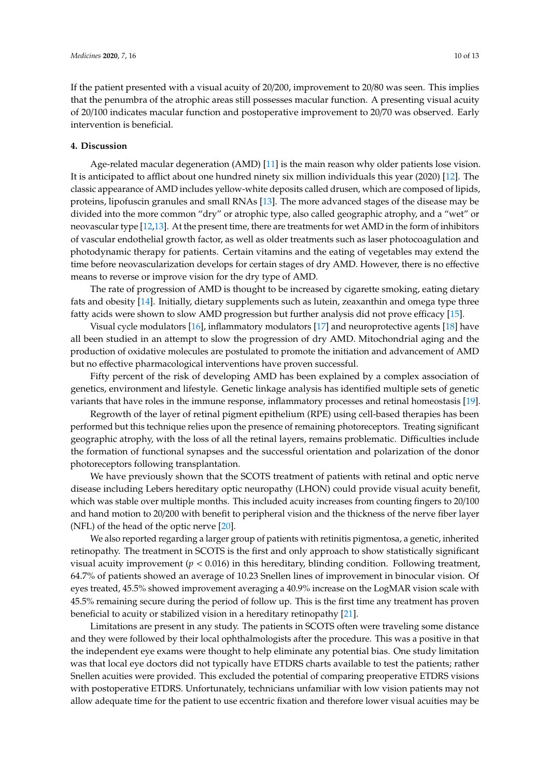If the patient presented with a visual acuity of 20/200, improvement to 20/80 was seen. This implies that the penumbra of the atrophic areas still possesses macular function. A presenting visual acuity of 20/100 indicates macular function and postoperative improvement to 20/70 was observed. Early intervention is beneficial.

#### **4. Discussion**

Age-related macular degeneration (AMD) [\[11\]](#page-11-7) is the main reason why older patients lose vision. It is anticipated to afflict about one hundred ninety six million individuals this year (2020) [\[12\]](#page-11-8). The classic appearance of AMD includes yellow-white deposits called drusen, which are composed of lipids, proteins, lipofuscin granules and small RNAs [\[13\]](#page-11-9). The more advanced stages of the disease may be divided into the more common "dry" or atrophic type, also called geographic atrophy, and a "wet" or neovascular type [\[12](#page-11-8)[,13\]](#page-11-9). At the present time, there are treatments for wet AMD in the form of inhibitors of vascular endothelial growth factor, as well as older treatments such as laser photocoagulation and photodynamic therapy for patients. Certain vitamins and the eating of vegetables may extend the time before neovascularization develops for certain stages of dry AMD. However, there is no effective means to reverse or improve vision for the dry type of AMD.

The rate of progression of AMD is thought to be increased by cigarette smoking, eating dietary fats and obesity [\[14\]](#page-11-10). Initially, dietary supplements such as lutein, zeaxanthin and omega type three fatty acids were shown to slow AMD progression but further analysis did not prove efficacy [\[15\]](#page-12-0).

Visual cycle modulators [\[16\]](#page-12-1), inflammatory modulators [\[17\]](#page-12-2) and neuroprotective agents [\[18\]](#page-12-3) have all been studied in an attempt to slow the progression of dry AMD. Mitochondrial aging and the production of oxidative molecules are postulated to promote the initiation and advancement of AMD but no effective pharmacological interventions have proven successful.

Fifty percent of the risk of developing AMD has been explained by a complex association of genetics, environment and lifestyle. Genetic linkage analysis has identified multiple sets of genetic variants that have roles in the immune response, inflammatory processes and retinal homeostasis [\[19\]](#page-12-4).

Regrowth of the layer of retinal pigment epithelium (RPE) using cell-based therapies has been performed but this technique relies upon the presence of remaining photoreceptors. Treating significant geographic atrophy, with the loss of all the retinal layers, remains problematic. Difficulties include the formation of functional synapses and the successful orientation and polarization of the donor photoreceptors following transplantation.

We have previously shown that the SCOTS treatment of patients with retinal and optic nerve disease including Lebers hereditary optic neuropathy (LHON) could provide visual acuity benefit, which was stable over multiple months. This included acuity increases from counting fingers to 20/100 and hand motion to 20/200 with benefit to peripheral vision and the thickness of the nerve fiber layer (NFL) of the head of the optic nerve [\[20\]](#page-12-5).

We also reported regarding a larger group of patients with retinitis pigmentosa, a genetic, inherited retinopathy. The treatment in SCOTS is the first and only approach to show statistically significant visual acuity improvement ( $p < 0.016$ ) in this hereditary, blinding condition. Following treatment, 64.7% of patients showed an average of 10.23 Snellen lines of improvement in binocular vision. Of eyes treated, 45.5% showed improvement averaging a 40.9% increase on the LogMAR vision scale with 45.5% remaining secure during the period of follow up. This is the first time any treatment has proven beneficial to acuity or stabilized vision in a hereditary retinopathy [\[21\]](#page-12-6).

Limitations are present in any study. The patients in SCOTS often were traveling some distance and they were followed by their local ophthalmologists after the procedure. This was a positive in that the independent eye exams were thought to help eliminate any potential bias. One study limitation was that local eye doctors did not typically have ETDRS charts available to test the patients; rather Snellen acuities were provided. This excluded the potential of comparing preoperative ETDRS visions with postoperative ETDRS. Unfortunately, technicians unfamiliar with low vision patients may not allow adequate time for the patient to use eccentric fixation and therefore lower visual acuities may be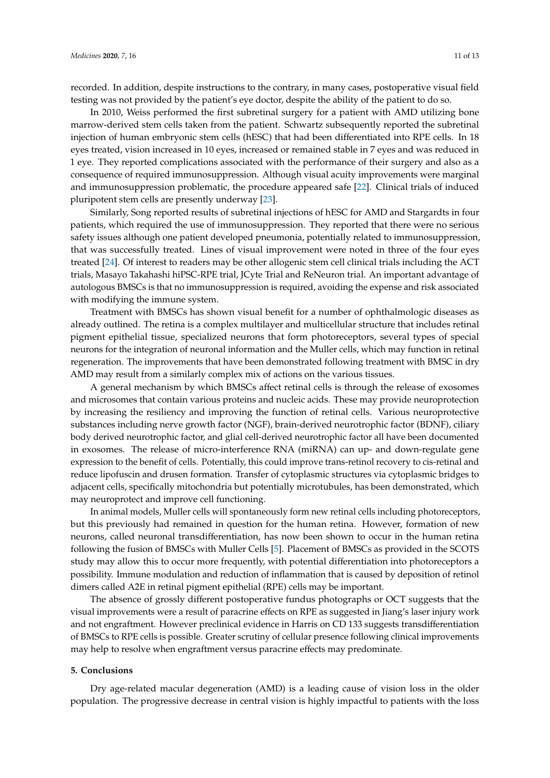recorded. In addition, despite instructions to the contrary, in many cases, postoperative visual field testing was not provided by the patient's eye doctor, despite the ability of the patient to do so.

In 2010, Weiss performed the first subretinal surgery for a patient with AMD utilizing bone marrow-derived stem cells taken from the patient. Schwartz subsequently reported the subretinal injection of human embryonic stem cells (hESC) that had been differentiated into RPE cells. In 18 eyes treated, vision increased in 10 eyes, increased or remained stable in 7 eyes and was reduced in 1 eye. They reported complications associated with the performance of their surgery and also as a consequence of required immunosuppression. Although visual acuity improvements were marginal and immunosuppression problematic, the procedure appeared safe [\[22\]](#page-12-7). Clinical trials of induced pluripotent stem cells are presently underway [\[23\]](#page-12-8).

Similarly, Song reported results of subretinal injections of hESC for AMD and Stargardts in four patients, which required the use of immunosuppression. They reported that there were no serious safety issues although one patient developed pneumonia, potentially related to immunosuppression, that was successfully treated. Lines of visual improvement were noted in three of the four eyes treated [\[24\]](#page-12-9). Of interest to readers may be other allogenic stem cell clinical trials including the ACT trials, Masayo Takahashi hiPSC-RPE trial, JCyte Trial and ReNeuron trial. An important advantage of autologous BMSCs is that no immunosuppression is required, avoiding the expense and risk associated with modifying the immune system.

Treatment with BMSCs has shown visual benefit for a number of ophthalmologic diseases as already outlined. The retina is a complex multilayer and multicellular structure that includes retinal pigment epithelial tissue, specialized neurons that form photoreceptors, several types of special neurons for the integration of neuronal information and the Muller cells, which may function in retinal regeneration. The improvements that have been demonstrated following treatment with BMSC in dry AMD may result from a similarly complex mix of actions on the various tissues.

A general mechanism by which BMSCs affect retinal cells is through the release of exosomes and microsomes that contain various proteins and nucleic acids. These may provide neuroprotection by increasing the resiliency and improving the function of retinal cells. Various neuroprotective substances including nerve growth factor (NGF), brain-derived neurotrophic factor (BDNF), ciliary body derived neurotrophic factor, and glial cell-derived neurotrophic factor all have been documented in exosomes. The release of micro-interference RNA (miRNA) can up- and down-regulate gene expression to the benefit of cells. Potentially, this could improve trans-retinol recovery to cis-retinal and reduce lipofuscin and drusen formation. Transfer of cytoplasmic structures via cytoplasmic bridges to adjacent cells, specifically mitochondria but potentially microtubules, has been demonstrated, which may neuroprotect and improve cell functioning.

In animal models, Muller cells will spontaneously form new retinal cells including photoreceptors, but this previously had remained in question for the human retina. However, formation of new neurons, called neuronal transdifferentiation, has now been shown to occur in the human retina following the fusion of BMSCs with Muller Cells [\[5\]](#page-11-4). Placement of BMSCs as provided in the SCOTS study may allow this to occur more frequently, with potential differentiation into photoreceptors a possibility. Immune modulation and reduction of inflammation that is caused by deposition of retinol dimers called A2E in retinal pigment epithelial (RPE) cells may be important.

The absence of grossly different postoperative fundus photographs or OCT suggests that the visual improvements were a result of paracrine effects on RPE as suggested in Jiang's laser injury work and not engraftment. However preclinical evidence in Harris on CD 133 suggests transdifferentiation of BMSCs to RPE cells is possible. Greater scrutiny of cellular presence following clinical improvements may help to resolve when engraftment versus paracrine effects may predominate.

### **5. Conclusions**

Dry age-related macular degeneration (AMD) is a leading cause of vision loss in the older population. The progressive decrease in central vision is highly impactful to patients with the loss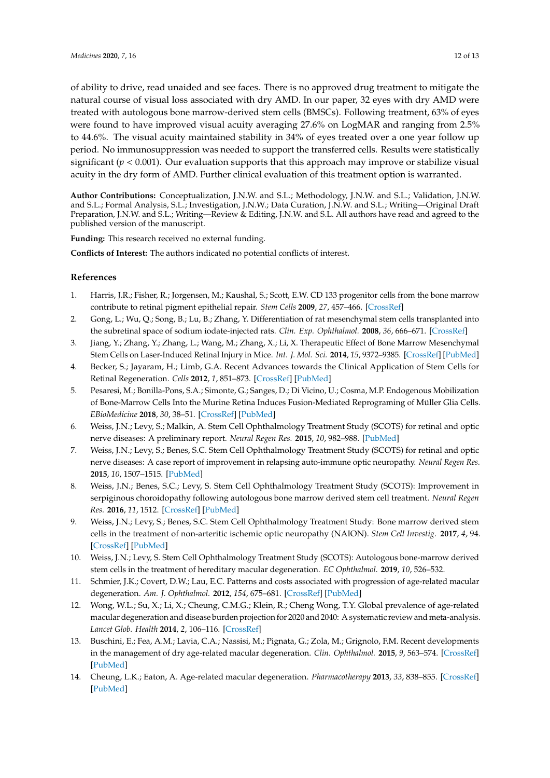of ability to drive, read unaided and see faces. There is no approved drug treatment to mitigate the natural course of visual loss associated with dry AMD. In our paper, 32 eyes with dry AMD were treated with autologous bone marrow-derived stem cells (BMSCs). Following treatment, 63% of eyes were found to have improved visual acuity averaging 27.6% on LogMAR and ranging from 2.5% to 44.6%. The visual acuity maintained stability in 34% of eyes treated over a one year follow up period. No immunosuppression was needed to support the transferred cells. Results were statistically significant ( $p < 0.001$ ). Our evaluation supports that this approach may improve or stabilize visual acuity in the dry form of AMD. Further clinical evaluation of this treatment option is warranted.

**Author Contributions:** Conceptualization, J.N.W. and S.L.; Methodology, J.N.W. and S.L.; Validation, J.N.W. and S.L.; Formal Analysis, S.L.; Investigation, J.N.W.; Data Curation, J.N.W. and S.L.; Writing—Original Draft Preparation, J.N.W. and S.L.; Writing—Review & Editing, J.N.W. and S.L. All authors have read and agreed to the published version of the manuscript.

**Funding:** This research received no external funding.

**Conflicts of Interest:** The authors indicated no potential conflicts of interest.

## **References**

- <span id="page-11-0"></span>1. Harris, J.R.; Fisher, R.; Jorgensen, M.; Kaushal, S.; Scott, E.W. CD 133 progenitor cells from the bone marrow contribute to retinal pigment epithelial repair. *Stem Cells* **2009**, *27*, 457–466. [\[CrossRef\]](http://dx.doi.org/10.1634/stemcells.2008-0836)
- <span id="page-11-1"></span>2. Gong, L.; Wu, Q.; Song, B.; Lu, B.; Zhang, Y. Differentiation of rat mesenchymal stem cells transplanted into the subretinal space of sodium iodate-injected rats. *Clin. Exp. Ophthalmol.* **2008**, *36*, 666–671. [\[CrossRef\]](http://dx.doi.org/10.1111/j.1442-9071.2008.01857.x)
- <span id="page-11-2"></span>3. Jiang, Y.; Zhang, Y.; Zhang, L.; Wang, M.; Zhang, X.; Li, X. Therapeutic Effect of Bone Marrow Mesenchymal Stem Cells on Laser-Induced Retinal Injury in Mice. *Int. J. Mol. Sci.* **2014**, *15*, 9372–9385. [\[CrossRef\]](http://dx.doi.org/10.3390/ijms15069372) [\[PubMed\]](http://www.ncbi.nlm.nih.gov/pubmed/24871366)
- <span id="page-11-3"></span>4. Becker, S.; Jayaram, H.; Limb, G.A. Recent Advances towards the Clinical Application of Stem Cells for Retinal Regeneration. *Cells* **2012**, *1*, 851–873. [\[CrossRef\]](http://dx.doi.org/10.3390/cells1040851) [\[PubMed\]](http://www.ncbi.nlm.nih.gov/pubmed/24710533)
- <span id="page-11-4"></span>5. Pesaresi, M.; Bonilla-Pons, S.A.; Simonte, G.; Sanges, D.; Di Vicino, U.; Cosma, M.P. Endogenous Mobilization of Bone-Marrow Cells Into the Murine Retina Induces Fusion-Mediated Reprograming of Müller Glia Cells. *EBioMedicine* **2018**, *30*, 38–51. [\[CrossRef\]](http://dx.doi.org/10.1016/j.ebiom.2018.02.023) [\[PubMed\]](http://www.ncbi.nlm.nih.gov/pubmed/29525572)
- <span id="page-11-5"></span>6. Weiss, J.N.; Levy, S.; Malkin, A. Stem Cell Ophthalmology Treatment Study (SCOTS) for retinal and optic nerve diseases: A preliminary report. *Neural Regen Res.* **2015**, *10*, 982–988. [\[PubMed\]](http://www.ncbi.nlm.nih.gov/pubmed/26199618)
- 7. Weiss, J.N.; Levy, S.; Benes, S.C. Stem Cell Ophthalmology Treatment Study (SCOTS) for retinal and optic nerve diseases: A case report of improvement in relapsing auto-immune optic neuropathy. *Neural Regen Res.* **2015**, *10*, 1507–1515. [\[PubMed\]](http://www.ncbi.nlm.nih.gov/pubmed/26604914)
- 8. Weiss, J.N.; Benes, S.C.; Levy, S. Stem Cell Ophthalmology Treatment Study (SCOTS): Improvement in serpiginous choroidopathy following autologous bone marrow derived stem cell treatment. *Neural Regen Res.* **2016**, *11*, 1512. [\[CrossRef\]](http://dx.doi.org/10.4103/1673-5374.191229) [\[PubMed\]](http://www.ncbi.nlm.nih.gov/pubmed/27857759)
- 9. Weiss, J.N.; Levy, S.; Benes, S.C. Stem Cell Ophthalmology Treatment Study: Bone marrow derived stem cells in the treatment of non-arteritic ischemic optic neuropathy (NAION). *Stem Cell Investig.* **2017**, *4*, 94. [\[CrossRef\]](http://dx.doi.org/10.21037/sci.2017.11.05) [\[PubMed\]](http://www.ncbi.nlm.nih.gov/pubmed/29270420)
- <span id="page-11-6"></span>10. Weiss, J.N.; Levy, S. Stem Cell Ophthalmology Treatment Study (SCOTS): Autologous bone-marrow derived stem cells in the treatment of hereditary macular degeneration. *EC Ophthalmol.* **2019**, *10*, 526–532.
- <span id="page-11-7"></span>11. Schmier, J.K.; Covert, D.W.; Lau, E.C. Patterns and costs associated with progression of age-related macular degeneration. *Am. J. Ophthalmol.* **2012**, *154*, 675–681. [\[CrossRef\]](http://dx.doi.org/10.1016/j.ajo.2012.04.017) [\[PubMed\]](http://www.ncbi.nlm.nih.gov/pubmed/22835513)
- <span id="page-11-8"></span>12. Wong, W.L.; Su, X.; Li, X.; Cheung, C.M.G.; Klein, R.; Cheng Wong, T.Y. Global prevalence of age-related macular degeneration and disease burden projection for 2020 and 2040: A systematic review and meta-analysis. *Lancet Glob. Health* **2014**, *2*, 106–116. [\[CrossRef\]](http://dx.doi.org/10.1016/S2214-109X(13)70145-1)
- <span id="page-11-9"></span>13. Buschini, E.; Fea, A.M.; Lavia, C.A.; Nassisi, M.; Pignata, G.; Zola, M.; Grignolo, F.M. Recent developments in the management of dry age-related macular degeneration. *Clin. Ophthalmol.* **2015**, *9*, 563–574. [\[CrossRef\]](http://dx.doi.org/10.2147/OPTH.S59724) [\[PubMed\]](http://www.ncbi.nlm.nih.gov/pubmed/25878491)
- <span id="page-11-10"></span>14. Cheung, L.K.; Eaton, A. Age-related macular degeneration. *Pharmacotherapy* **2013**, *33*, 838–855. [\[CrossRef\]](http://dx.doi.org/10.1002/phar.1264) [\[PubMed\]](http://www.ncbi.nlm.nih.gov/pubmed/23580402)